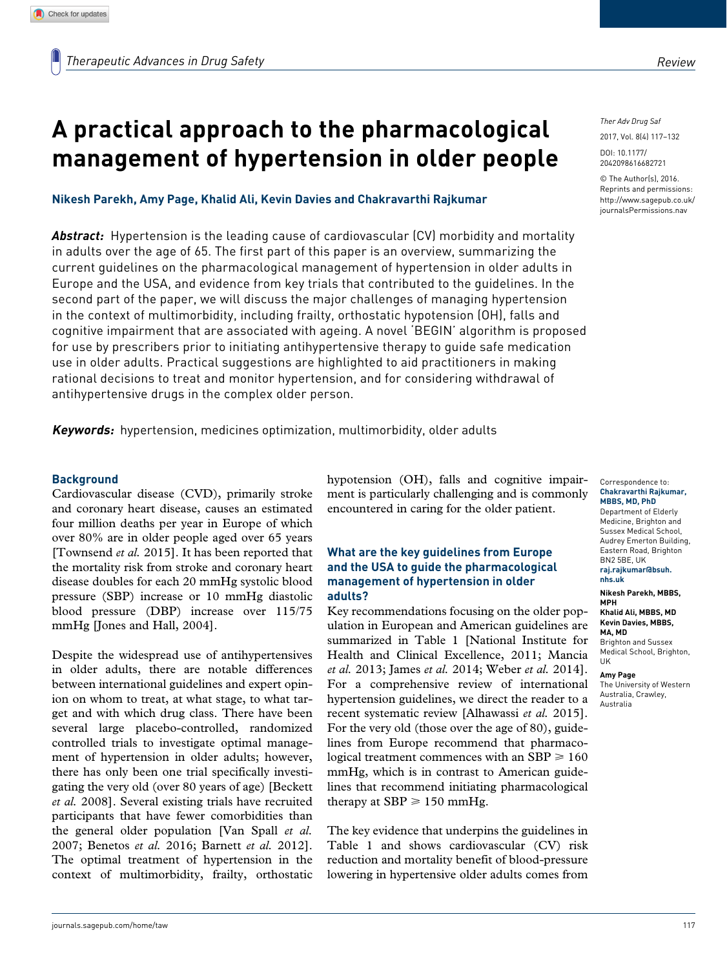# **A practical approach to the pharmacological management of hypertension in older people**

**Nikesh Parekh, Amy Page, Khalid Ali, Kevin Davies and Chakravarthi Rajkumar**

*Abstract:* Hypertension is the leading cause of cardiovascular (CV) morbidity and mortality in adults over the age of 65. The first part of this paper is an overview, summarizing the current guidelines on the pharmacological management of hypertension in older adults in Europe and the USA, and evidence from key trials that contributed to the guidelines. In the second part of the paper, we will discuss the major challenges of managing hypertension in the context of multimorbidity, including frailty, orthostatic hypotension (OH), falls and cognitive impairment that are associated with ageing. A novel 'BEGIN' algorithm is proposed for use by prescribers prior to initiating antihypertensive therapy to guide safe medication use in older adults. Practical suggestions are highlighted to aid practitioners in making rational decisions to treat and monitor hypertension, and for considering withdrawal of antihypertensive drugs in the complex older person.

**Keywords:** hypertension, medicines optimization, multimorbidity, older adults

## **Background**

Cardiovascular disease (CVD), primarily stroke and coronary heart disease, causes an estimated four million deaths per year in Europe of which over 80% are in older people aged over 65 years [Townsend *et al.* 2015]. It has been reported that the mortality risk from stroke and coronary heart disease doubles for each 20 mmHg systolic blood pressure (SBP) increase or 10 mmHg diastolic blood pressure (DBP) increase over 115/75 mmHg [Jones and Hall, 2004].

Despite the widespread use of antihypertensives in older adults, there are notable differences between international guidelines and expert opinion on whom to treat, at what stage, to what target and with which drug class. There have been several large placebo-controlled, randomized controlled trials to investigate optimal management of hypertension in older adults; however, there has only been one trial specifically investigating the very old (over 80 years of age) [Beckett *et al.* 2008]. Several existing trials have recruited participants that have fewer comorbidities than the general older population [Van Spall *et al.* 2007; Benetos *et al.* 2016; Barnett *et al.* 2012]. The optimal treatment of hypertension in the context of multimorbidity, frailty, orthostatic

hypotension (OH), falls and cognitive impairment is particularly challenging and is commonly encountered in caring for the older patient.

## **What are the key guidelines from Europe and the USA to guide the pharmacological management of hypertension in older adults?**

Key recommendations focusing on the older population in European and American guidelines are summarized in Table 1 [National Institute for Health and Clinical Excellence, 2011; Mancia *et al.* 2013; James *et al.* 2014; Weber *et al.* 2014]. For a comprehensive review of international hypertension guidelines, we direct the reader to a recent systematic review [Alhawassi *et al.* 2015]. For the very old (those over the age of 80), guidelines from Europe recommend that pharmacological treatment commences with an  $SBP \ge 160$ mmHg, which is in contrast to American guidelines that recommend initiating pharmacological therapy at SBP  $\geq 150$  mmHg.

The key evidence that underpins the guidelines in Table 1 and shows cardiovascular (CV) risk reduction and mortality benefit of blood-pressure lowering in hypertensive older adults comes from

*Ther Adv Drug Saf*

2017, Vol. 8(4) 117–132

DOI: 10.1177/ [2042098616682721](http://doi.org/10.1177/2042098616682721)

© The Author(s), 2016. Reprints and permissions: [http://www.sagepub.co.uk/](http://www.sagepub.co.uk/journalsPermissions.nav) [journalsPermissions.nav](http://www.sagepub.co.uk/journalsPermissions.nav)

Correspondence to: **Chakravarthi Rajkumar, MBBS, MD, PhD**

Department of Elderly Medicine, Brighton and Sussex Medical School, Audrey Emerton Building, Eastern Road, Brighton BN2 5BE, UK **[raj.rajkumar@bsuh.](mailto:raj.rajkumar@bsuh.nhs.uk) [nhs.uk](mailto:raj.rajkumar@bsuh.nhs.uk)**

**Nikesh Parekh, MBBS, MPH**

**Khalid Ali, MBBS, MD Kevin Davies, MBBS, MA, MD** Brighton and Sussex Medical School, Brighton,

UK

**Amy Page** The University of Western Australia, Crawley, Australia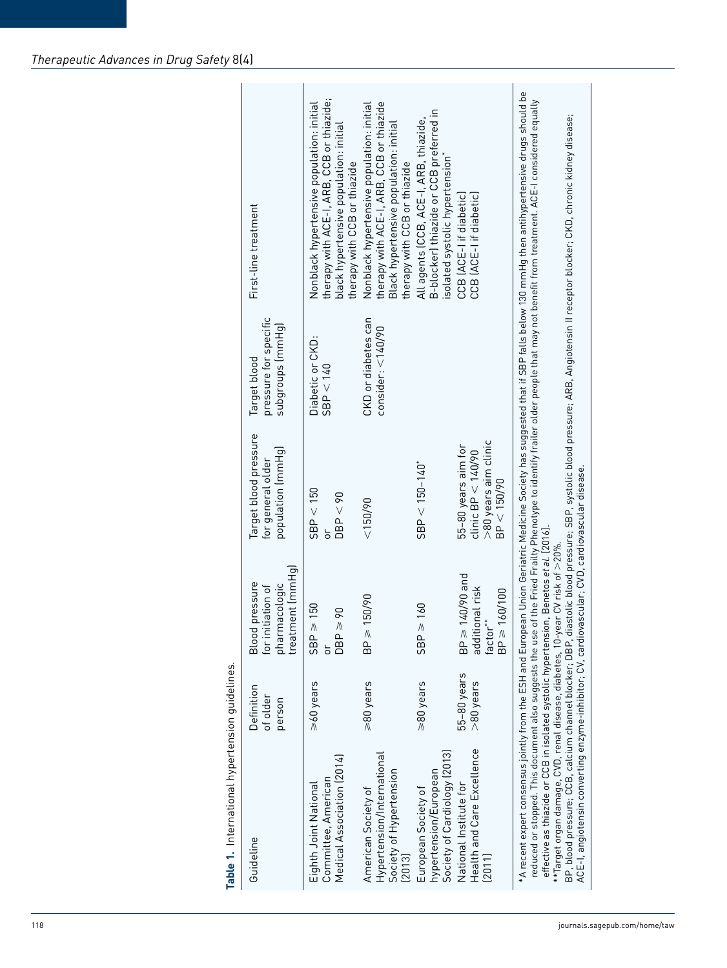| Guideline                                                                              | Definition<br>of older<br>person | treatment (mmHg)<br>pressure<br>pharmacologic<br>tiation of<br>Blood<br>for init     | Target blood pressure<br>population (mmHg)<br>for general older                    | pressure for specific<br>subgroups (mmHg)<br>Target blood                 | First-line treatment                                                                                                                                             |
|----------------------------------------------------------------------------------------|----------------------------------|--------------------------------------------------------------------------------------|------------------------------------------------------------------------------------|---------------------------------------------------------------------------|------------------------------------------------------------------------------------------------------------------------------------------------------------------|
| Medical Association (2014)<br>Committee, American<br>Eighth Joint National             | >60 years                        | $SBP \geqslant 150$<br>$\overline{6}$<br>$DBP \ge$<br>$\overline{5}$                 | < 150<br>DBP < 90<br>SBP<br>ð                                                      | $\begin{array}{l} \text{Diabetic or CKD:}\\ \text{SBP} < 140 \end{array}$ | therapy with ACE-I, ARB, CCB or thiazide;<br>Nonblack hypertensive population: initial<br>black hypertensive population: initial<br>therapy with CCB or thiazide |
| Hypertension/International<br>Society of Hypertension<br>American Society of<br>[2013] | ≥80 years                        | 150/90<br>$BP \geq$                                                                  | < 150/90                                                                           | CKD or diabetes can<br>consider: $<$ 140/90                               | therapy with ACE-I, ARB, CCB or thiazide<br>Nonblack hypertensive population: initial<br>Black hypertensive population: initial<br>therapy with CCB or thiazide  |
| Society of Cardiology (2013)<br>hypertension/European<br>European Society of           | ≥80 years                        | 160<br>$\leq$ BP $\geq$                                                              | $SBP < 150 - 140$ <sup>*</sup>                                                     |                                                                           | B-blocker) thiazide or CCB preferred in<br>All agents (CCB, ACE-I, ARB, thiazide,<br>isolated systolic hypertension*                                             |
| Health and Care Excellence<br>National Institute for<br>(2011)                         | 55-80 years<br>$>80$ years       | 140/90 and<br>additional risk<br>160/100<br>factor <sup>*</sup><br>BP ≥<br>$BP \geq$ | >80 years aim clinic<br>BP < 150/90<br>55-80 years aim for<br>clinic $BP < 140/90$ |                                                                           | CCB (ACE-I if diabetic)<br>CCB (ACE-I if diabetic)                                                                                                               |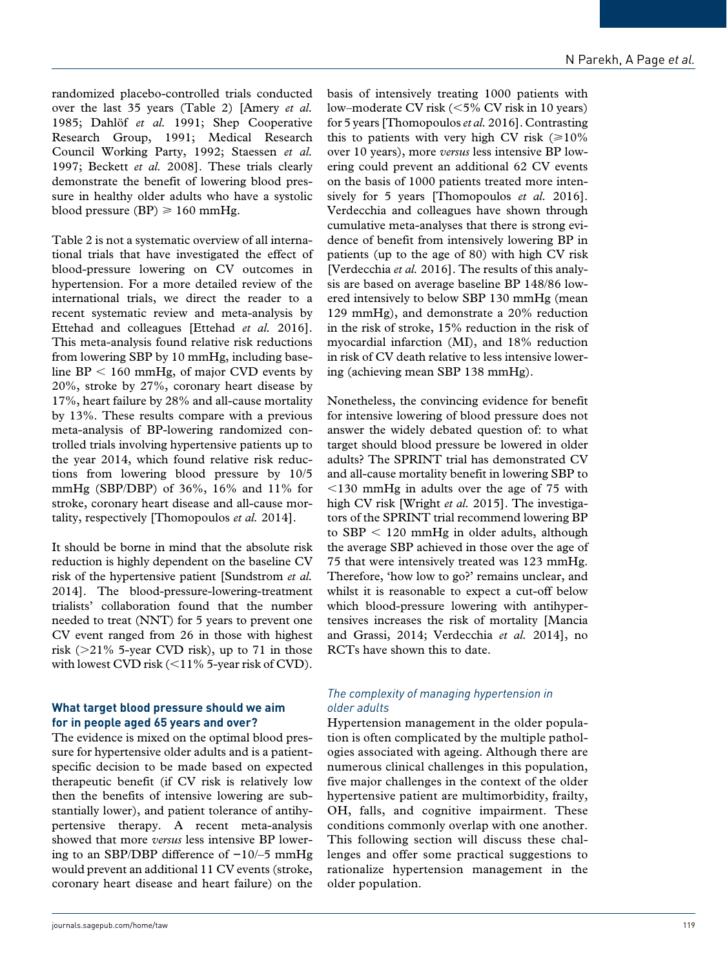randomized placebo-controlled trials conducted over the last 35 years (Table 2) [Amery *et al.* 1985; Dahlöf *et al.* 1991; Shep Cooperative Research Group, 1991; Medical Research Council Working Party, 1992; Staessen *et al.* 1997; Beckett *et al.* 2008]. These trials clearly demonstrate the benefit of lowering blood pressure in healthy older adults who have a systolic blood pressure (BP)  $\geq 160$  mmHg.

Table 2 is not a systematic overview of all international trials that have investigated the effect of blood-pressure lowering on CV outcomes in hypertension. For a more detailed review of the international trials, we direct the reader to a recent systematic review and meta-analysis by Ettehad and colleagues [Ettehad *et al.* 2016]. This meta-analysis found relative risk reductions from lowering SBP by 10 mmHg, including baseline BP < 160 mmHg, of major CVD events by 20%, stroke by 27%, coronary heart disease by 17%, heart failure by 28% and all-cause mortality by 13%. These results compare with a previous meta-analysis of BP-lowering randomized controlled trials involving hypertensive patients up to the year 2014, which found relative risk reductions from lowering blood pressure by 10/5 mmHg (SBP/DBP) of 36%, 16% and 11% for stroke, coronary heart disease and all-cause mortality, respectively [Thomopoulos *et al.* 2014].

It should be borne in mind that the absolute risk reduction is highly dependent on the baseline CV risk of the hypertensive patient [Sundstrom *et al.* 2014]. The blood-pressure-lowering-treatment trialists' collaboration found that the number needed to treat (NNT) for 5 years to prevent one CV event ranged from 26 in those with highest risk ( $>$ 21% 5-year CVD risk), up to 71 in those with lowest CVD risk (<11% 5-year risk of CVD).

## **What target blood pressure should we aim for in people aged 65 years and over?**

The evidence is mixed on the optimal blood pressure for hypertensive older adults and is a patientspecific decision to be made based on expected therapeutic benefit (if CV risk is relatively low then the benefits of intensive lowering are substantially lower), and patient tolerance of antihypertensive therapy. A recent meta-analysis showed that more *versus* less intensive BP lowering to an SBP/DBP difference of −10/–5 mmHg would prevent an additional 11 CV events (stroke, coronary heart disease and heart failure) on the

basis of intensively treating 1000 patients with low–moderate CV risk (<5% CV risk in 10 years) for 5 years [Thomopoulos *et al.* 2016]. Contrasting this to patients with very high CV risk ( $\geq 10\%$ over 10 years), more *versus* less intensive BP lowering could prevent an additional 62 CV events on the basis of 1000 patients treated more intensively for 5 years [Thomopoulos *et al.* 2016]. Verdecchia and colleagues have shown through cumulative meta-analyses that there is strong evidence of benefit from intensively lowering BP in patients (up to the age of 80) with high CV risk [Verdecchia *et al.* 2016]. The results of this analysis are based on average baseline BP 148/86 lowered intensively to below SBP 130 mmHg (mean 129 mmHg), and demonstrate a 20% reduction in the risk of stroke, 15% reduction in the risk of myocardial infarction (MI), and 18% reduction in risk of CV death relative to less intensive lowering (achieving mean SBP 138 mmHg).

Nonetheless, the convincing evidence for benefit for intensive lowering of blood pressure does not answer the widely debated question of: to what target should blood pressure be lowered in older adults? The SPRINT trial has demonstrated CV and all-cause mortality benefit in lowering SBP to <130 mmHg in adults over the age of 75 with high CV risk [Wright *et al.* 2015]. The investigators of the SPRINT trial recommend lowering BP to SBP < 120 mmHg in older adults, although the average SBP achieved in those over the age of 75 that were intensively treated was 123 mmHg. Therefore, 'how low to go?' remains unclear, and whilst it is reasonable to expect a cut-off below which blood-pressure lowering with antihypertensives increases the risk of mortality [Mancia and Grassi, 2014; Verdecchia *et al.* 2014], no RCTs have shown this to date.

## *The complexity of managing hypertension in older adults*

Hypertension management in the older population is often complicated by the multiple pathologies associated with ageing. Although there are numerous clinical challenges in this population, five major challenges in the context of the older hypertensive patient are multimorbidity, frailty, OH, falls, and cognitive impairment. These conditions commonly overlap with one another. This following section will discuss these challenges and offer some practical suggestions to rationalize hypertension management in the older population.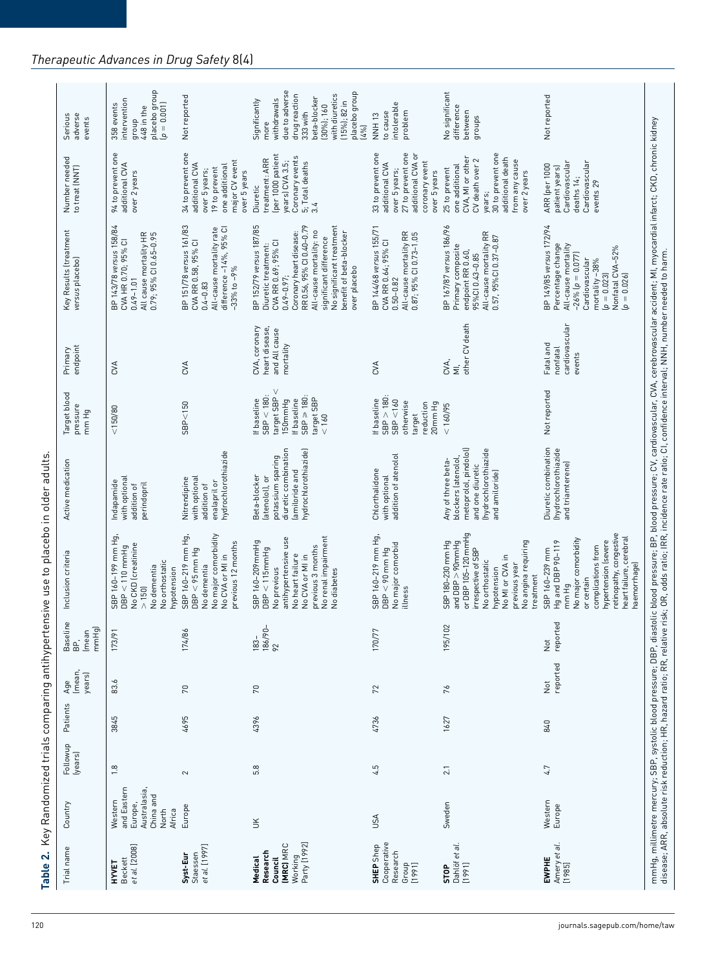| Number needed<br>to treat (NNT)           | 94 to prevent one<br>additional CVA<br>over 2 years<br>BP 143/78 versus 158/84<br>All cause mortality HR<br>0.79; 95% CI 0.65–0.95 | 34 to prevent one<br>major CV event<br>additional CVA<br>one additional<br>19 to prevent<br>over 5 years;<br>over 5 years<br>BP 151/78 versus 161/83<br>CVA RR 0.58, 95% CI<br>All-cause mortality rate<br>difference –14%, 95% CI | (per 1000 patient<br>Coronary events<br>treatment: ARR<br>years) CVA 3.5;<br>5; Total deaths<br>Diuretic<br>3.4<br>BP 152/79 versus 187/85<br>RR 0.56, 95% CI 0.40-0.79<br>No significant treatment<br>All-cause mortality: no<br>benefit of beta-blocker<br>Coronary heart disease: | 33 to prevent one<br>27 to prevent one<br>additional CVA or<br>coronary event<br>additional CVA<br>over 5 years;<br>over 5 years<br>BP 144/68 versus 155/71<br>All-cause mortality RR<br>0.87; 95% Cl 0.73-1.05 | 30 to prevent one<br>additional death<br>CVA, MI or other<br>2<br>from any cause<br>one additional<br>CV death over<br>25 to prevent<br>over 2 years<br>years;<br>BP 167/87 versus 186/96<br>All-cause mortality RR | Cardiovascular<br>Cardiovascular<br>ARR (per 1000<br>patient years)<br>deaths 14;<br>events 29<br>BP 149/85 versus 172/94                                                                              |
|-------------------------------------------|------------------------------------------------------------------------------------------------------------------------------------|------------------------------------------------------------------------------------------------------------------------------------------------------------------------------------------------------------------------------------|--------------------------------------------------------------------------------------------------------------------------------------------------------------------------------------------------------------------------------------------------------------------------------------|-----------------------------------------------------------------------------------------------------------------------------------------------------------------------------------------------------------------|---------------------------------------------------------------------------------------------------------------------------------------------------------------------------------------------------------------------|--------------------------------------------------------------------------------------------------------------------------------------------------------------------------------------------------------|
| Key Results (treatment<br>versus placebo) | CVA HR 0.70; 95% CI<br>$0.49 - 1.01$                                                                                               | $-33%$ to $-9%$<br>$0.4 - 0.83$                                                                                                                                                                                                    | significant difference<br>Diuretic treatment:<br>CVA RR 0.69; 95% CI<br>over placebo<br>$0.49 - 0.97$ ;                                                                                                                                                                              | CVA RR 0.64; 95% CI<br>$0.50 - 0.82$                                                                                                                                                                            | 0.57, 95%CI 0.37-0.87<br>Primary composite<br>endpoint RR 0.60<br>95% CI 0.43-0.85                                                                                                                                  | Percentage change<br>All-cause mortality<br>Nonfatal CVA-52%<br>(p = 0.026)<br>$-26\%$ ( $p = 0.077$ )<br>Cardiovascular<br>mortality-38%<br>$[p = 0.023]$                                             |
| endpoint<br>Primary                       | CVA                                                                                                                                | CVA                                                                                                                                                                                                                                | CVA, coronary<br>heart disease,<br>and All cause<br>mortality                                                                                                                                                                                                                        | CVA                                                                                                                                                                                                             | other CV death<br>CVA,<br>$\overline{\overline{z}}$                                                                                                                                                                 | cardiovascular<br>Fatal and<br>nonfatal<br>events                                                                                                                                                      |
| Target blood<br>pressure<br>mm Hg         | 150/80                                                                                                                             | SBP < 150                                                                                                                                                                                                                          | $SBP < 180$ :<br>target SBP<br>$SBP \geq 180$<br>target SBP<br>150mmHg<br>If baseline<br>If baseline<br>< 160                                                                                                                                                                        | $SBP > 180$ :<br>SBP < 160<br>If baseline<br>otherwise<br>reduction<br>20mm Hg<br>target                                                                                                                        | < 160/95                                                                                                                                                                                                            | Not reported                                                                                                                                                                                           |
| Active medication                         | with optional<br>Indapamide<br>perindopril<br>addition of                                                                          | hydrochlorothiazide<br>with optional<br>Nitrendipine<br>enalapril or<br>addition of                                                                                                                                                | diuretic combination<br>hydrochlorothiazide)<br>potassium sparing<br>amiloride and<br>Beta-blocker<br>(atenolol), or                                                                                                                                                                 | addition of atenolol<br>Chlorthalidone<br>with optional                                                                                                                                                         | metoprolol, pindolol)<br>(hydrochlorothiazide<br>blockers (atenolol<br>Any of three beta-<br>and one diuretic<br>and amiloride)                                                                                     | Diuretic combination<br>(hydrochlorothiazide<br>and triamterene)                                                                                                                                       |
| Inclusion criteria                        | SBP 160-199 mm Hg,<br>No CKD (creatinine<br>$DBP < 110$ mmHg<br>No orthostatic<br>No dementia<br>hypotension<br>> 150              | SBP 160-219 mm Hg,<br>No major comorbidity<br>previous 12 months<br>$DBP < 95$ mm Hg<br>No CVA or MI in<br>No dementia                                                                                                             | No renal impairment<br>antihypertensive use<br>SBP 160-209mmHg<br>previous 3 months<br>DBP < 115mmHg<br>No heart failure<br>No CVA or MI in<br>No previous<br>No diabetes                                                                                                            | SBP 160-219 mm Hg,<br>No major comorbid<br>$DBP < 90$ mm Hg<br>illness                                                                                                                                          | or DBP 105-120 mmHg<br>No angina requiring<br>SBP 180-230 mm Hg<br>and $DBP > 90$ mm $Hg$<br>irrespective of SBP<br>No MI or CVA in<br>No orthostatic<br>previous year<br>hypotension<br>treatment                  | retinopathy, congestive<br>heart failure, cerebral<br>No major comorbidity<br>hypertension (severe<br>Hg and DBP 90-119<br>complications from<br>SBP 160-239 mm<br>haemorrhage)<br>or certain<br>mm Hg |
| Baseline<br>BP,<br>mmHg)<br>(mean         | 173/91                                                                                                                             | 174/86                                                                                                                                                                                                                             | 186/90-<br>92<br>$183-$                                                                                                                                                                                                                                                              | 170/77                                                                                                                                                                                                          | 195/102                                                                                                                                                                                                             | reported<br>$\frac{1}{2}$                                                                                                                                                                              |
| imean,<br>years)<br>Age                   | 83.6                                                                                                                               | $70\,$                                                                                                                                                                                                                             | 70                                                                                                                                                                                                                                                                                   | 72                                                                                                                                                                                                              | 76                                                                                                                                                                                                                  | reported<br>$\breve{\vec{z}}$                                                                                                                                                                          |
| Patients                                  | 3845                                                                                                                               | 4695                                                                                                                                                                                                                               | 4396                                                                                                                                                                                                                                                                                 | 4736                                                                                                                                                                                                            | 1627                                                                                                                                                                                                                | 840                                                                                                                                                                                                    |
| Followup<br>(years)                       | 1.8                                                                                                                                | $\sim$                                                                                                                                                                                                                             | 5.8                                                                                                                                                                                                                                                                                  | 4.5                                                                                                                                                                                                             | 2.1                                                                                                                                                                                                                 | 4.7                                                                                                                                                                                                    |
| Country                                   | and Eastern<br>Australasia,<br>China and<br>Western<br>Europe,<br>Africa<br>North                                                  | Europe                                                                                                                                                                                                                             | $\leq$                                                                                                                                                                                                                                                                               | USA                                                                                                                                                                                                             | Sweden                                                                                                                                                                                                              | Western<br>Europe                                                                                                                                                                                      |
| Trial name                                | et al. [2008]<br>Beckett<br>НYYET                                                                                                  | et al. [1997]<br>Staessen<br>Syst-Eur                                                                                                                                                                                              | Party [1992]<br><b>IMRCI MRC</b><br>Research<br>Working<br>Medical<br>Council                                                                                                                                                                                                        | Cooperative<br>SHEP Shep<br>Research<br>[1991]                                                                                                                                                                  | STOP<br>Dahlöf et al.<br>[1991]                                                                                                                                                                                     | Amery et al.<br>[1985]<br>EWPHE                                                                                                                                                                        |

## *Therapeutic Advances in Drug Safety* 8(4)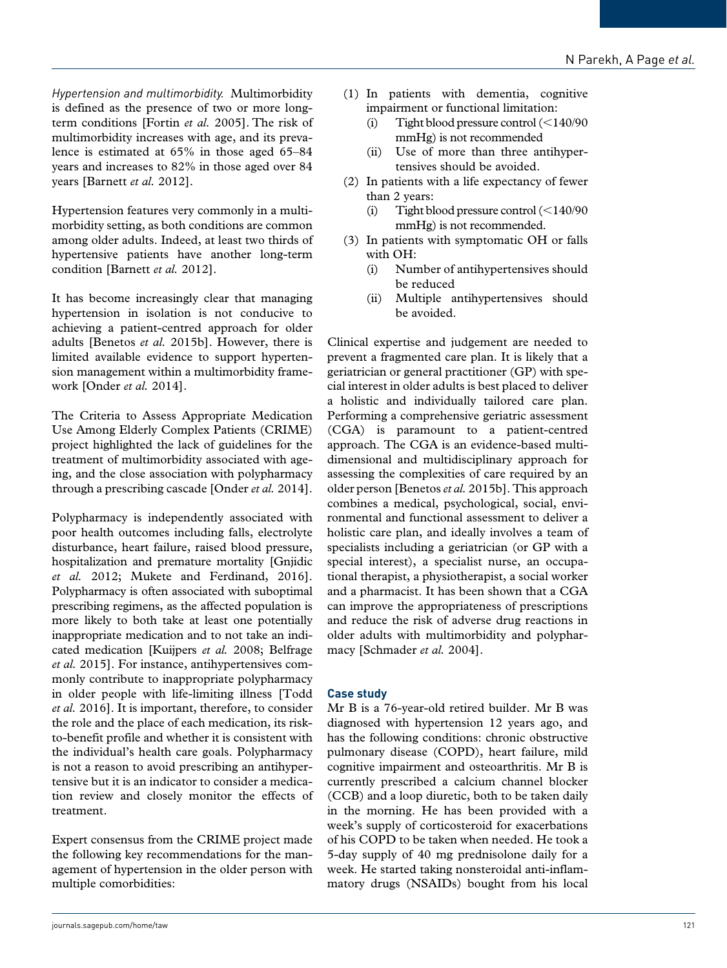*Hypertension and multimorbidity.* Multimorbidity is defined as the presence of two or more longterm conditions [Fortin *et al.* 2005]. The risk of multimorbidity increases with age, and its prevalence is estimated at 65% in those aged 65–84 years and increases to 82% in those aged over 84 years [Barnett *et al.* 2012].

Hypertension features very commonly in a multimorbidity setting, as both conditions are common among older adults. Indeed, at least two thirds of hypertensive patients have another long-term condition [Barnett *et al.* 2012].

It has become increasingly clear that managing hypertension in isolation is not conducive to achieving a patient-centred approach for older adults [Benetos *et al.* 2015b]. However, there is limited available evidence to support hypertension management within a multimorbidity framework [Onder *et al.* 2014].

The Criteria to Assess Appropriate Medication Use Among Elderly Complex Patients (CRIME) project highlighted the lack of guidelines for the treatment of multimorbidity associated with ageing, and the close association with polypharmacy through a prescribing cascade [Onder *et al.* 2014].

Polypharmacy is independently associated with poor health outcomes including falls, electrolyte disturbance, heart failure, raised blood pressure, hospitalization and premature mortality [Gnjidic *et al.* 2012; Mukete and Ferdinand, 2016]. Polypharmacy is often associated with suboptimal prescribing regimens, as the affected population is more likely to both take at least one potentially inappropriate medication and to not take an indicated medication [Kuijpers *et al.* 2008; Belfrage *et al.* 2015]. For instance, antihypertensives commonly contribute to inappropriate polypharmacy in older people with life-limiting illness [Todd *et al.* 2016]. It is important, therefore, to consider the role and the place of each medication, its riskto-benefit profile and whether it is consistent with the individual's health care goals. Polypharmacy is not a reason to avoid prescribing an antihypertensive but it is an indicator to consider a medication review and closely monitor the effects of treatment.

Expert consensus from the CRIME project made the following key recommendations for the management of hypertension in the older person with multiple comorbidities:

- (1) In patients with dementia, cognitive impairment or functional limitation:
	- (i) Tight blood pressure control (<140/90 mmHg) is not recommended
	- (ii) Use of more than three antihypertensives should be avoided.
- (2) In patients with a life expectancy of fewer than 2 years:
	- (i) Tight blood pressure control (<140/90 mmHg) is not recommended.
- (3) In patients with symptomatic OH or falls with OH:
	- (i) Number of antihypertensives should be reduced
	- (ii) Multiple antihypertensives should be avoided.

Clinical expertise and judgement are needed to prevent a fragmented care plan. It is likely that a geriatrician or general practitioner (GP) with special interest in older adults is best placed to deliver a holistic and individually tailored care plan. Performing a comprehensive geriatric assessment (CGA) is paramount to a patient-centred approach. The CGA is an evidence-based multidimensional and multidisciplinary approach for assessing the complexities of care required by an older person [Benetos *et al.* 2015b]. This approach combines a medical, psychological, social, environmental and functional assessment to deliver a holistic care plan, and ideally involves a team of specialists including a geriatrician (or GP with a special interest), a specialist nurse, an occupational therapist, a physiotherapist, a social worker and a pharmacist. It has been shown that a CGA can improve the appropriateness of prescriptions and reduce the risk of adverse drug reactions in older adults with multimorbidity and polypharmacy [Schmader *et al.* 2004].

## **Case study**

Mr B is a 76-year-old retired builder. Mr B was diagnosed with hypertension 12 years ago, and has the following conditions: chronic obstructive pulmonary disease (COPD), heart failure, mild cognitive impairment and osteoarthritis. Mr B is currently prescribed a calcium channel blocker (CCB) and a loop diuretic, both to be taken daily in the morning. He has been provided with a week's supply of corticosteroid for exacerbations of his COPD to be taken when needed. He took a 5-day supply of 40 mg prednisolone daily for a week. He started taking nonsteroidal anti-inflammatory drugs (NSAIDs) bought from his local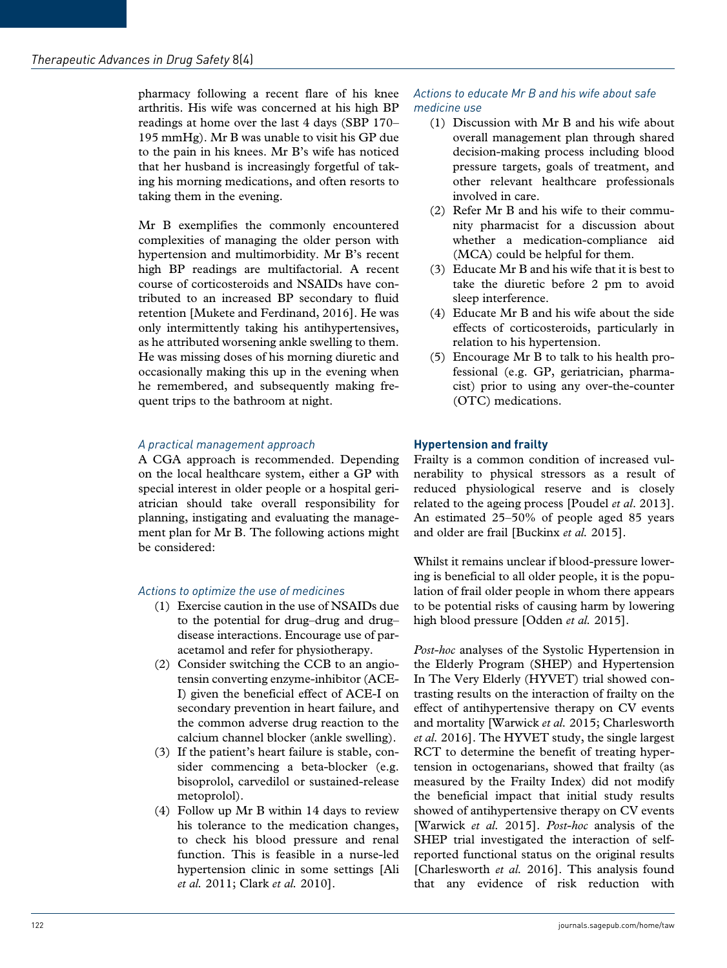pharmacy following a recent flare of his knee arthritis. His wife was concerned at his high BP readings at home over the last 4 days (SBP 170– 195 mmHg). Mr B was unable to visit his GP due to the pain in his knees. Mr B's wife has noticed that her husband is increasingly forgetful of taking his morning medications, and often resorts to taking them in the evening.

Mr B exemplifies the commonly encountered complexities of managing the older person with hypertension and multimorbidity. Mr B's recent high BP readings are multifactorial. A recent course of corticosteroids and NSAIDs have contributed to an increased BP secondary to fluid retention [Mukete and Ferdinand, 2016]. He was only intermittently taking his antihypertensives, as he attributed worsening ankle swelling to them. He was missing doses of his morning diuretic and occasionally making this up in the evening when he remembered, and subsequently making frequent trips to the bathroom at night.

## *A practical management approach*

A CGA approach is recommended. Depending on the local healthcare system, either a GP with special interest in older people or a hospital geriatrician should take overall responsibility for planning, instigating and evaluating the management plan for Mr B. The following actions might be considered:

## *Actions to optimize the use of medicines*

- (1) Exercise caution in the use of NSAIDs due to the potential for drug–drug and drug– disease interactions. Encourage use of paracetamol and refer for physiotherapy.
- (2) Consider switching the CCB to an angiotensin converting enzyme-inhibitor (ACE-I) given the beneficial effect of ACE-I on secondary prevention in heart failure, and the common adverse drug reaction to the calcium channel blocker (ankle swelling).
- (3) If the patient's heart failure is stable, consider commencing a beta-blocker (e.g. bisoprolol, carvedilol or sustained-release metoprolol).
- (4) Follow up Mr B within 14 days to review his tolerance to the medication changes, to check his blood pressure and renal function. This is feasible in a nurse-led hypertension clinic in some settings [Ali *et al.* 2011; Clark *et al.* 2010].

## *Actions to educate Mr B and his wife about safe medicine use*

- (1) Discussion with Mr B and his wife about overall management plan through shared decision-making process including blood pressure targets, goals of treatment, and other relevant healthcare professionals involved in care.
- (2) Refer Mr B and his wife to their community pharmacist for a discussion about whether a medication-compliance aid (MCA) could be helpful for them.
- (3) Educate Mr B and his wife that it is best to take the diuretic before 2 pm to avoid sleep interference.
- (4) Educate Mr B and his wife about the side effects of corticosteroids, particularly in relation to his hypertension.
- (5) Encourage Mr B to talk to his health professional (e.g. GP, geriatrician, pharmacist) prior to using any over-the-counter (OTC) medications.

## **Hypertension and frailty**

Frailty is a common condition of increased vulnerability to physical stressors as a result of reduced physiological reserve and is closely related to the ageing process [Poudel *et al*. 2013]. An estimated 25–50% of people aged 85 years and older are frail [Buckinx *et al.* 2015].

Whilst it remains unclear if blood-pressure lowering is beneficial to all older people, it is the population of frail older people in whom there appears to be potential risks of causing harm by lowering high blood pressure [Odden *et al.* 2015].

*Post-hoc* analyses of the Systolic Hypertension in the Elderly Program (SHEP) and Hypertension In The Very Elderly (HYVET) trial showed contrasting results on the interaction of frailty on the effect of antihypertensive therapy on CV events and mortality [Warwick *et al.* 2015; Charlesworth *et al.* 2016]. The HYVET study, the single largest RCT to determine the benefit of treating hypertension in octogenarians, showed that frailty (as measured by the Frailty Index) did not modify the beneficial impact that initial study results showed of antihypertensive therapy on CV events [Warwick *et al.* 2015]. *Post-hoc* analysis of the SHEP trial investigated the interaction of selfreported functional status on the original results [Charlesworth *et al.* 2016]. This analysis found that any evidence of risk reduction with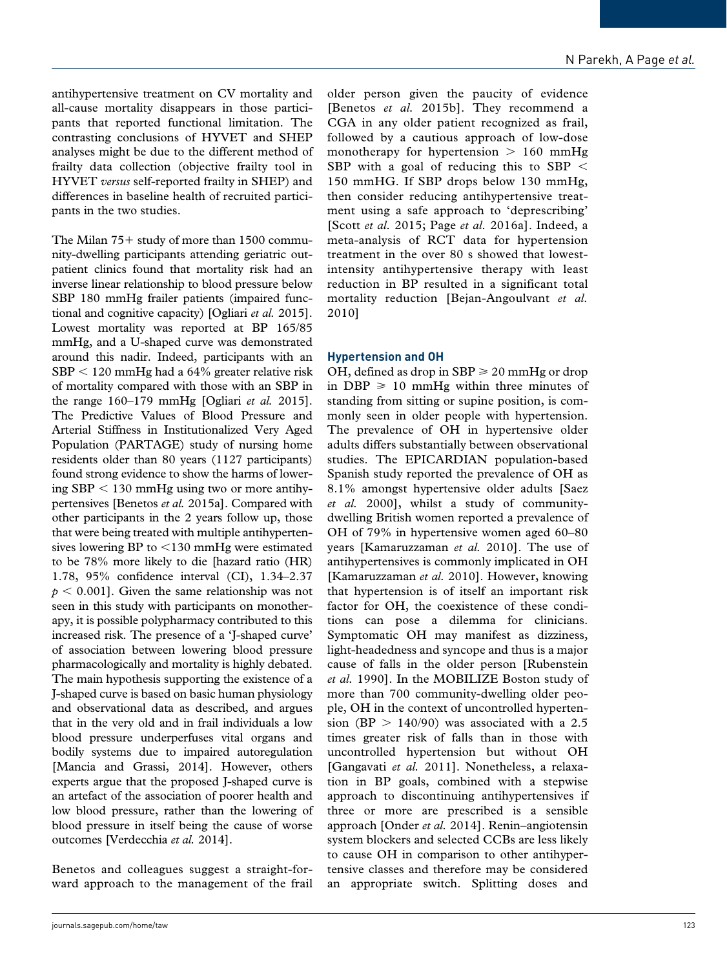antihypertensive treatment on CV mortality and all-cause mortality disappears in those participants that reported functional limitation. The contrasting conclusions of HYVET and SHEP analyses might be due to the different method of frailty data collection (objective frailty tool in HYVET *versus* self-reported frailty in SHEP) and differences in baseline health of recruited participants in the two studies.

The Milan 75+ study of more than 1500 community-dwelling participants attending geriatric outpatient clinics found that mortality risk had an inverse linear relationship to blood pressure below SBP 180 mmHg frailer patients (impaired functional and cognitive capacity) [Ogliari *et al.* 2015]. Lowest mortality was reported at BP 165/85 mmHg, and a U-shaped curve was demonstrated around this nadir. Indeed, participants with an SBP < 120 mmHg had a 64% greater relative risk of mortality compared with those with an SBP in the range 160–179 mmHg [Ogliari *et al.* 2015]. The Predictive Values of Blood Pressure and Arterial Stiffness in Institutionalized Very Aged Population (PARTAGE) study of nursing home residents older than 80 years (1127 participants) found strong evidence to show the harms of lowering  $SBP < 130$  mmHg using two or more antihypertensives [Benetos *et al.* 2015a]. Compared with other participants in the 2 years follow up, those that were being treated with multiple antihypertensives lowering BP to <130 mmHg were estimated to be 78% more likely to die [hazard ratio (HR) 1.78, 95% confidence interval (CI), 1.34–2.37  $p < 0.001$ . Given the same relationship was not seen in this study with participants on monotherapy, it is possible polypharmacy contributed to this increased risk. The presence of a 'J-shaped curve' of association between lowering blood pressure pharmacologically and mortality is highly debated. The main hypothesis supporting the existence of a J-shaped curve is based on basic human physiology and observational data as described, and argues that in the very old and in frail individuals a low blood pressure underperfuses vital organs and bodily systems due to impaired autoregulation [Mancia and Grassi, 2014]. However, others experts argue that the proposed J-shaped curve is an artefact of the association of poorer health and low blood pressure, rather than the lowering of blood pressure in itself being the cause of worse outcomes [Verdecchia *et al.* 2014].

Benetos and colleagues suggest a straight-forward approach to the management of the frail older person given the paucity of evidence [Benetos *et al.* 2015b]. They recommend a CGA in any older patient recognized as frail, followed by a cautious approach of low-dose monotherapy for hypertension  $> 160$  mmHg SBP with a goal of reducing this to SBP  $\leq$ 150 mmHG. If SBP drops below 130 mmHg, then consider reducing antihypertensive treatment using a safe approach to 'deprescribing' [Scott *et al.* 2015; Page *et al.* 2016a]. Indeed, a meta-analysis of RCT data for hypertension treatment in the over 80 s showed that lowestintensity antihypertensive therapy with least reduction in BP resulted in a significant total mortality reduction [Bejan-Angoulvant *et al.* 2010]

## **Hypertension and OH**

OH, defined as drop in SBP  $\geq 20$  mmHg or drop in DBP  $\geq 10$  mmHg within three minutes of standing from sitting or supine position, is commonly seen in older people with hypertension. The prevalence of OH in hypertensive older adults differs substantially between observational studies. The EPICARDIAN population-based Spanish study reported the prevalence of OH as 8.1% amongst hypertensive older adults [Saez *et al.* 2000], whilst a study of communitydwelling British women reported a prevalence of OH of 79% in hypertensive women aged 60–80 years [Kamaruzzaman *et al.* 2010]. The use of antihypertensives is commonly implicated in OH [Kamaruzzaman *et al.* 2010]. However, knowing that hypertension is of itself an important risk factor for OH, the coexistence of these conditions can pose a dilemma for clinicians. Symptomatic OH may manifest as dizziness, light-headedness and syncope and thus is a major cause of falls in the older person [Rubenstein *et al.* 1990]. In the MOBILIZE Boston study of more than 700 community-dwelling older people, OH in the context of uncontrolled hypertension (BP  $> 140/90$ ) was associated with a 2.5 times greater risk of falls than in those with uncontrolled hypertension but without OH [Gangavati *et al.* 2011]. Nonetheless, a relaxation in BP goals, combined with a stepwise approach to discontinuing antihypertensives if three or more are prescribed is a sensible approach [Onder *et al.* 2014]. Renin–angiotensin system blockers and selected CCBs are less likely to cause OH in comparison to other antihypertensive classes and therefore may be considered an appropriate switch. Splitting doses and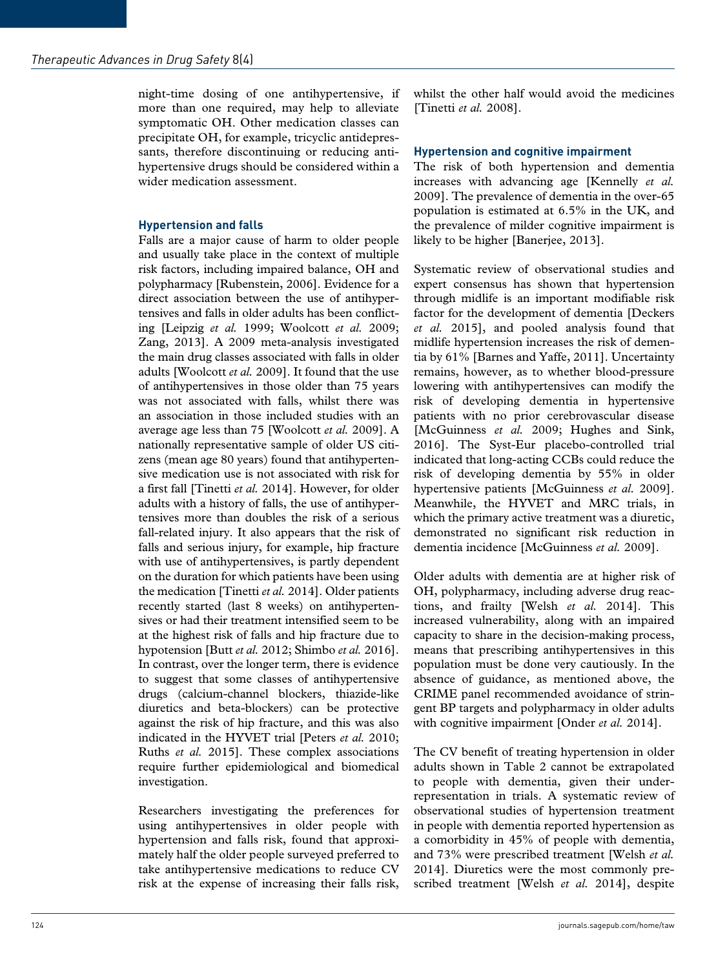night-time dosing of one antihypertensive, if more than one required, may help to alleviate symptomatic OH. Other medication classes can precipitate OH, for example, tricyclic antidepressants, therefore discontinuing or reducing antihypertensive drugs should be considered within a wider medication assessment.

## **Hypertension and falls**

Falls are a major cause of harm to older people and usually take place in the context of multiple risk factors, including impaired balance, OH and polypharmacy [Rubenstein, 2006]. Evidence for a direct association between the use of antihypertensives and falls in older adults has been conflicting [Leipzig *et al.* 1999; Woolcott *et al.* 2009; Zang, 2013]. A 2009 meta-analysis investigated the main drug classes associated with falls in older adults [Woolcott *et al.* 2009]. It found that the use of antihypertensives in those older than 75 years was not associated with falls, whilst there was an association in those included studies with an average age less than 75 [Woolcott *et al.* 2009]. A nationally representative sample of older US citizens (mean age 80 years) found that antihypertensive medication use is not associated with risk for a first fall [Tinetti *et al.* 2014]. However, for older adults with a history of falls, the use of antihypertensives more than doubles the risk of a serious fall-related injury. It also appears that the risk of falls and serious injury, for example, hip fracture with use of antihypertensives, is partly dependent on the duration for which patients have been using the medication [Tinetti *et al.* 2014]. Older patients recently started (last 8 weeks) on antihypertensives or had their treatment intensified seem to be at the highest risk of falls and hip fracture due to hypotension [Butt *et al.* 2012; Shimbo *et al.* 2016]. In contrast, over the longer term, there is evidence to suggest that some classes of antihypertensive drugs (calcium-channel blockers, thiazide-like diuretics and beta-blockers) can be protective against the risk of hip fracture, and this was also indicated in the HYVET trial [Peters *et al.* 2010; Ruths *et al.* 2015]. These complex associations require further epidemiological and biomedical investigation.

Researchers investigating the preferences for using antihypertensives in older people with hypertension and falls risk, found that approximately half the older people surveyed preferred to take antihypertensive medications to reduce CV risk at the expense of increasing their falls risk, whilst the other half would avoid the medicines [Tinetti *et al.* 2008].

## **Hypertension and cognitive impairment**

The risk of both hypertension and dementia increases with advancing age [Kennelly *et al.* 2009]. The prevalence of dementia in the over-65 population is estimated at 6.5% in the UK, and the prevalence of milder cognitive impairment is likely to be higher [Banerjee, 2013].

Systematic review of observational studies and expert consensus has shown that hypertension through midlife is an important modifiable risk factor for the development of dementia [Deckers *et al.* 2015], and pooled analysis found that midlife hypertension increases the risk of dementia by 61% [Barnes and Yaffe, 2011]. Uncertainty remains, however, as to whether blood-pressure lowering with antihypertensives can modify the risk of developing dementia in hypertensive patients with no prior cerebrovascular disease [McGuinness *et al.* 2009; Hughes and Sink, 2016]. The Syst-Eur placebo-controlled trial indicated that long-acting CCBs could reduce the risk of developing dementia by 55% in older hypertensive patients [McGuinness *et al.* 2009]. Meanwhile, the HYVET and MRC trials, in which the primary active treatment was a diuretic, demonstrated no significant risk reduction in dementia incidence [McGuinness *et al.* 2009].

Older adults with dementia are at higher risk of OH, polypharmacy, including adverse drug reactions, and frailty [Welsh *et al.* 2014]. This increased vulnerability, along with an impaired capacity to share in the decision-making process, means that prescribing antihypertensives in this population must be done very cautiously. In the absence of guidance, as mentioned above, the CRIME panel recommended avoidance of stringent BP targets and polypharmacy in older adults with cognitive impairment [Onder *et al.* 2014].

The CV benefit of treating hypertension in older adults shown in Table 2 cannot be extrapolated to people with dementia, given their underrepresentation in trials. A systematic review of observational studies of hypertension treatment in people with dementia reported hypertension as a comorbidity in 45% of people with dementia, and 73% were prescribed treatment [Welsh *et al.* 2014]. Diuretics were the most commonly prescribed treatment [Welsh *et al.* 2014], despite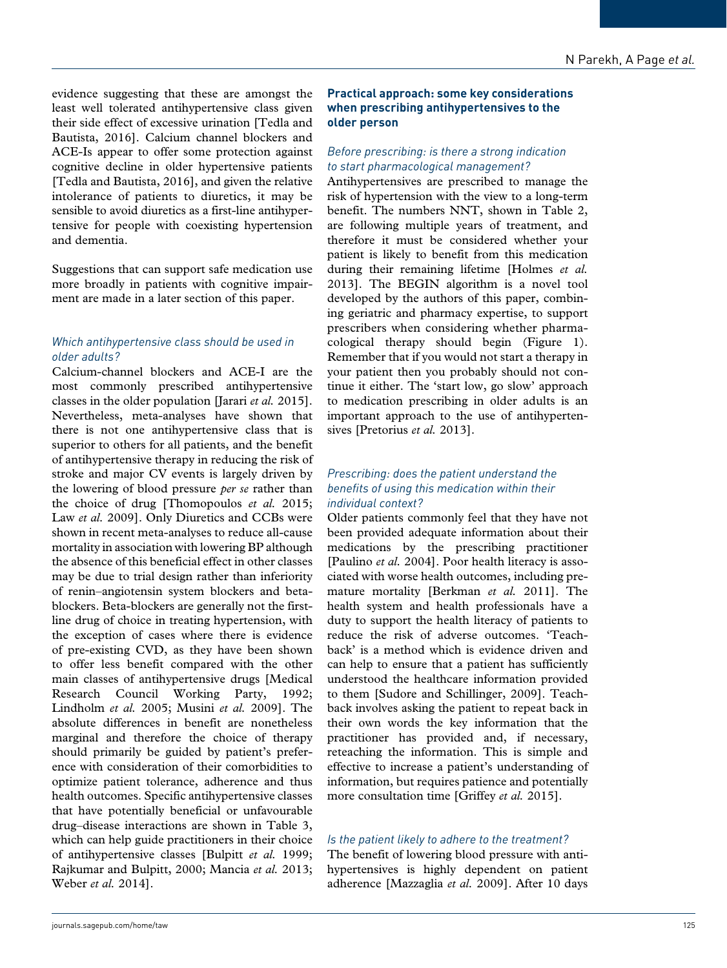evidence suggesting that these are amongst the least well tolerated antihypertensive class given their side effect of excessive urination [Tedla and Bautista, 2016]. Calcium channel blockers and ACE-Is appear to offer some protection against cognitive decline in older hypertensive patients [Tedla and Bautista, 2016], and given the relative intolerance of patients to diuretics, it may be sensible to avoid diuretics as a first-line antihypertensive for people with coexisting hypertension and dementia.

Suggestions that can support safe medication use more broadly in patients with cognitive impairment are made in a later section of this paper.

## *Which antihypertensive class should be used in older adults?*

Calcium-channel blockers and ACE-I are the most commonly prescribed antihypertensive classes in the older population [Jarari *et al.* 2015]. Nevertheless, meta-analyses have shown that there is not one antihypertensive class that is superior to others for all patients, and the benefit of antihypertensive therapy in reducing the risk of stroke and major CV events is largely driven by the lowering of blood pressure *per se* rather than the choice of drug [Thomopoulos *et al.* 2015; Law *et al.* 2009]. Only Diuretics and CCBs were shown in recent meta-analyses to reduce all-cause mortality in association with lowering BP although the absence of this beneficial effect in other classes may be due to trial design rather than inferiority of renin–angiotensin system blockers and betablockers. Beta-blockers are generally not the firstline drug of choice in treating hypertension, with the exception of cases where there is evidence of pre-existing CVD, as they have been shown to offer less benefit compared with the other main classes of antihypertensive drugs [Medical Research Council Working Party, 1992; Lindholm *et al.* 2005; Musini *et al.* 2009]. The absolute differences in benefit are nonetheless marginal and therefore the choice of therapy should primarily be guided by patient's preference with consideration of their comorbidities to optimize patient tolerance, adherence and thus health outcomes. Specific antihypertensive classes that have potentially beneficial or unfavourable drug–disease interactions are shown in Table 3, which can help guide practitioners in their choice of antihypertensive classes [Bulpitt *et al.* 1999; Rajkumar and Bulpitt, 2000; Mancia *et al.* 2013; Weber *et al.* 2014].

## **Practical approach: some key considerations when prescribing antihypertensives to the older person**

## *Before prescribing: is there a strong indication to start pharmacological management?*

Antihypertensives are prescribed to manage the risk of hypertension with the view to a long-term benefit. The numbers NNT, shown in Table 2, are following multiple years of treatment, and therefore it must be considered whether your patient is likely to benefit from this medication during their remaining lifetime [Holmes *et al.* 2013]. The BEGIN algorithm is a novel tool developed by the authors of this paper, combining geriatric and pharmacy expertise, to support prescribers when considering whether pharmacological therapy should begin (Figure 1). Remember that if you would not start a therapy in your patient then you probably should not continue it either. The 'start low, go slow' approach to medication prescribing in older adults is an important approach to the use of antihypertensives [Pretorius *et al.* 2013].

## *Prescribing: does the patient understand the benefits of using this medication within their individual context?*

Older patients commonly feel that they have not been provided adequate information about their medications by the prescribing practitioner [Paulino *et al.* 2004]. Poor health literacy is associated with worse health outcomes, including premature mortality [Berkman *et al.* 2011]. The health system and health professionals have a duty to support the health literacy of patients to reduce the risk of adverse outcomes. 'Teachback' is a method which is evidence driven and can help to ensure that a patient has sufficiently understood the healthcare information provided to them [Sudore and Schillinger, 2009]. Teachback involves asking the patient to repeat back in their own words the key information that the practitioner has provided and, if necessary, reteaching the information. This is simple and effective to increase a patient's understanding of information, but requires patience and potentially more consultation time [Griffey *et al.* 2015].

## *Is the patient likely to adhere to the treatment?*

The benefit of lowering blood pressure with antihypertensives is highly dependent on patient adherence [Mazzaglia *et al.* 2009]. After 10 days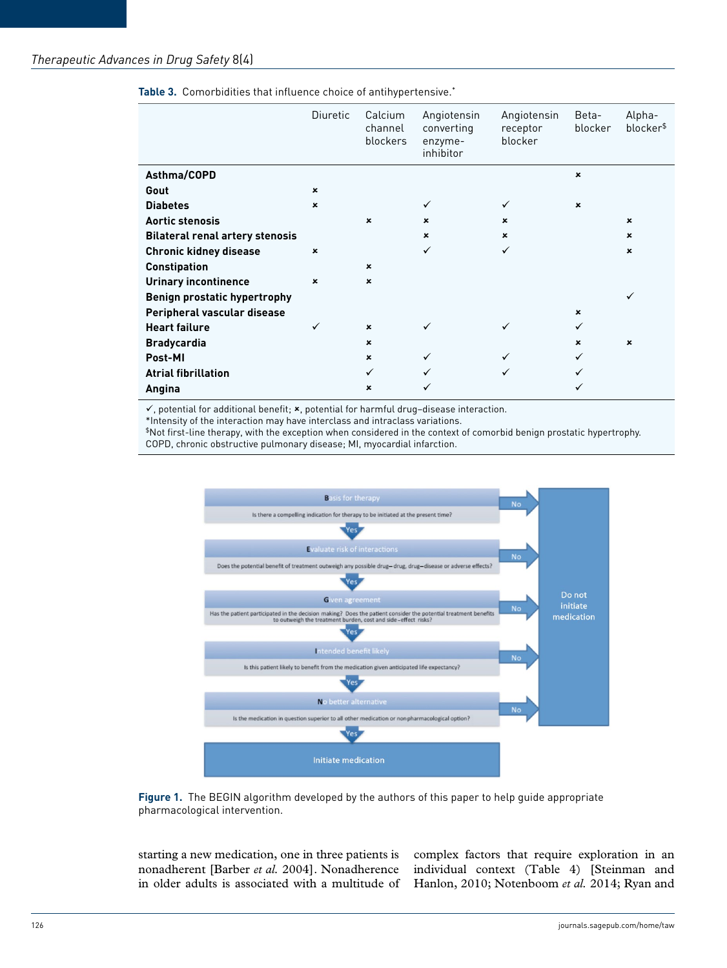|                                        | <b>Diuretic</b> | Calcium<br>channel<br>blockers | Angiotensin<br>converting<br>enzyme-<br>inhibitor | Angiotensin<br>receptor<br>blocker | Beta-<br>blocker | Alpha-<br>blocker\$ |
|----------------------------------------|-----------------|--------------------------------|---------------------------------------------------|------------------------------------|------------------|---------------------|
| Asthma/COPD                            |                 |                                |                                                   |                                    | $\pmb{\times}$   |                     |
| Gout                                   | $\pmb{\times}$  |                                |                                                   |                                    |                  |                     |
| <b>Diabetes</b>                        | $\pmb{\times}$  |                                | ✓                                                 | ✓                                  | $\mathbf x$      |                     |
| <b>Aortic stenosis</b>                 |                 | $\mathbf x$                    | $\mathbf x$                                       | $\mathbf x$                        |                  | $\pmb{\times}$      |
| <b>Bilateral renal artery stenosis</b> |                 |                                | $\pmb{\times}$                                    | $\mathbf x$                        |                  | $\pmb{\times}$      |
| Chronic kidney disease                 | $\pmb{\times}$  |                                | ✓                                                 | ✓                                  |                  | $\pmb{\times}$      |
| <b>Constipation</b>                    |                 | $\mathbf x$                    |                                                   |                                    |                  |                     |
| <b>Urinary incontinence</b>            | $\pmb{\times}$  | $\mathbf x$                    |                                                   |                                    |                  |                     |
| <b>Benign prostatic hypertrophy</b>    |                 |                                |                                                   |                                    |                  | ✓                   |
| Peripheral vascular disease            |                 |                                |                                                   |                                    | $\mathbf x$      |                     |
| <b>Heart failure</b>                   | $\checkmark$    | $\pmb{\times}$                 |                                                   | ✓                                  | ✓                |                     |
| <b>Bradycardia</b>                     |                 | $\pmb{\times}$                 |                                                   |                                    | $\mathbf x$      | $\pmb{\times}$      |
| Post-MI                                |                 | $\pmb{\times}$                 | ✓                                                 |                                    | ✓                |                     |
| <b>Atrial fibrillation</b>             |                 | $\checkmark$                   |                                                   |                                    |                  |                     |
| Angina                                 |                 | $\mathbf x$                    |                                                   |                                    |                  |                     |

**Table 3.** Comorbidities that influence choice of antihypertensive.\*

 $\checkmark$ , potential for additional benefit;  $\checkmark$ , potential for harmful drug-disease interaction.

\*Intensity of the interaction may have interclass and intraclass variations.

\$Not first-line therapy, with the exception when considered in the context of comorbid benign prostatic hypertrophy.

COPD, chronic obstructive pulmonary disease; MI, myocardial infarction.





starting a new medication, one in three patients is nonadherent [Barber *et al.* 2004]. Nonadherence

in older adults is associated with a multitude of Hanlon, 2010; Notenboom *et al.* 2014; Ryan and complex factors that require exploration in an individual context (Table 4) [Steinman and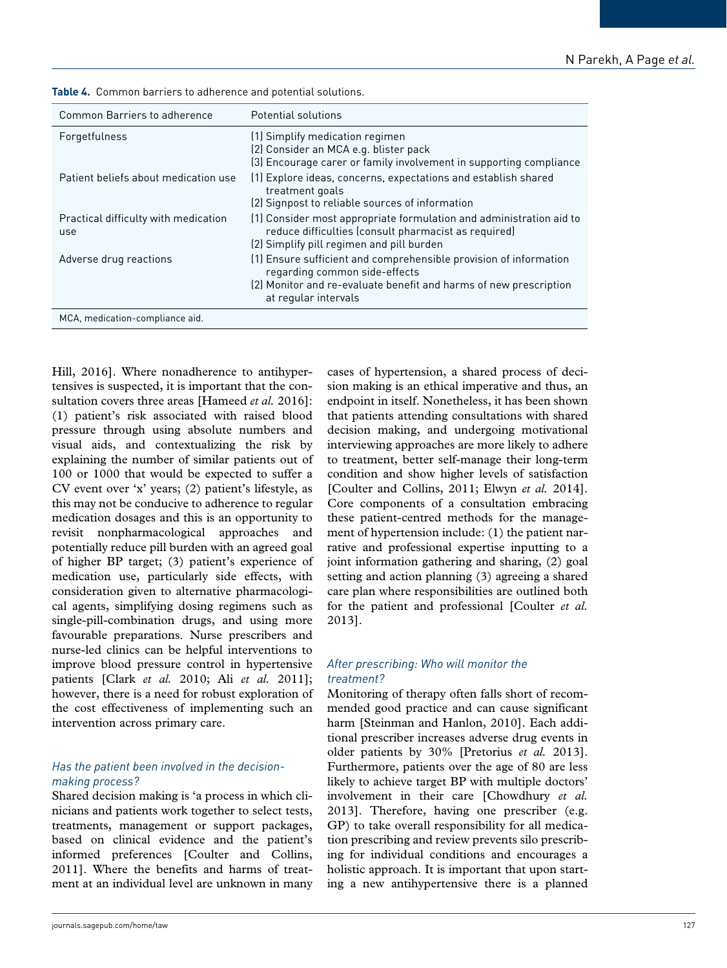| Common Barriers to adherence                | Potential solutions                                                                                                                                                                             |
|---------------------------------------------|-------------------------------------------------------------------------------------------------------------------------------------------------------------------------------------------------|
| Forgetfulness                               | (1) Simplify medication regimen<br>(2) Consider an MCA e.g. blister pack<br>(3) Encourage carer or family involvement in supporting compliance                                                  |
| Patient beliefs about medication use        | (1) Explore ideas, concerns, expectations and establish shared<br>treatment goals<br>(2) Signpost to reliable sources of information                                                            |
| Practical difficulty with medication<br>use | (1) Consider most appropriate formulation and administration aid to<br>reduce difficulties (consult pharmacist as required)<br>(2) Simplify pill regimen and pill burden                        |
| Adverse drug reactions                      | (1) Ensure sufficient and comprehensible provision of information<br>regarding common side-effects<br>(2) Monitor and re-evaluate benefit and harms of new prescription<br>at regular intervals |
| MCA, medication-compliance aid.             |                                                                                                                                                                                                 |

**Table 4.** Common barriers to adherence and potential solutions.

Hill, 2016]. Where nonadherence to antihypertensives is suspected, it is important that the consultation covers three areas [Hameed *et al.* 2016]: (1) patient's risk associated with raised blood pressure through using absolute numbers and visual aids, and contextualizing the risk by explaining the number of similar patients out of 100 or 1000 that would be expected to suffer a CV event over 'x' years; (2) patient's lifestyle, as this may not be conducive to adherence to regular medication dosages and this is an opportunity to revisit nonpharmacological approaches and potentially reduce pill burden with an agreed goal of higher BP target; (3) patient's experience of medication use, particularly side effects, with consideration given to alternative pharmacological agents, simplifying dosing regimens such as single-pill-combination drugs, and using more favourable preparations. Nurse prescribers and nurse-led clinics can be helpful interventions to improve blood pressure control in hypertensive patients [Clark *et al.* 2010; Ali *et al.* 2011]; however, there is a need for robust exploration of the cost effectiveness of implementing such an intervention across primary care.

## *Has the patient been involved in the decisionmaking process?*

Shared decision making is 'a process in which clinicians and patients work together to select tests, treatments, management or support packages, based on clinical evidence and the patient's informed preferences [Coulter and Collins, 2011]. Where the benefits and harms of treatment at an individual level are unknown in many cases of hypertension, a shared process of decision making is an ethical imperative and thus, an endpoint in itself. Nonetheless, it has been shown that patients attending consultations with shared decision making, and undergoing motivational interviewing approaches are more likely to adhere to treatment, better self-manage their long-term condition and show higher levels of satisfaction [Coulter and Collins, 2011; Elwyn *et al.* 2014]. Core components of a consultation embracing these patient-centred methods for the management of hypertension include: (1) the patient narrative and professional expertise inputting to a joint information gathering and sharing, (2) goal setting and action planning (3) agreeing a shared care plan where responsibilities are outlined both for the patient and professional [Coulter *et al.* 2013].

## *After prescribing: Who will monitor the treatment?*

Monitoring of therapy often falls short of recommended good practice and can cause significant harm [Steinman and Hanlon, 2010]. Each additional prescriber increases adverse drug events in older patients by 30% [Pretorius *et al.* 2013]. Furthermore, patients over the age of 80 are less likely to achieve target BP with multiple doctors' involvement in their care [Chowdhury *et al.* 2013]. Therefore, having one prescriber (e.g. GP) to take overall responsibility for all medication prescribing and review prevents silo prescribing for individual conditions and encourages a holistic approach. It is important that upon starting a new antihypertensive there is a planned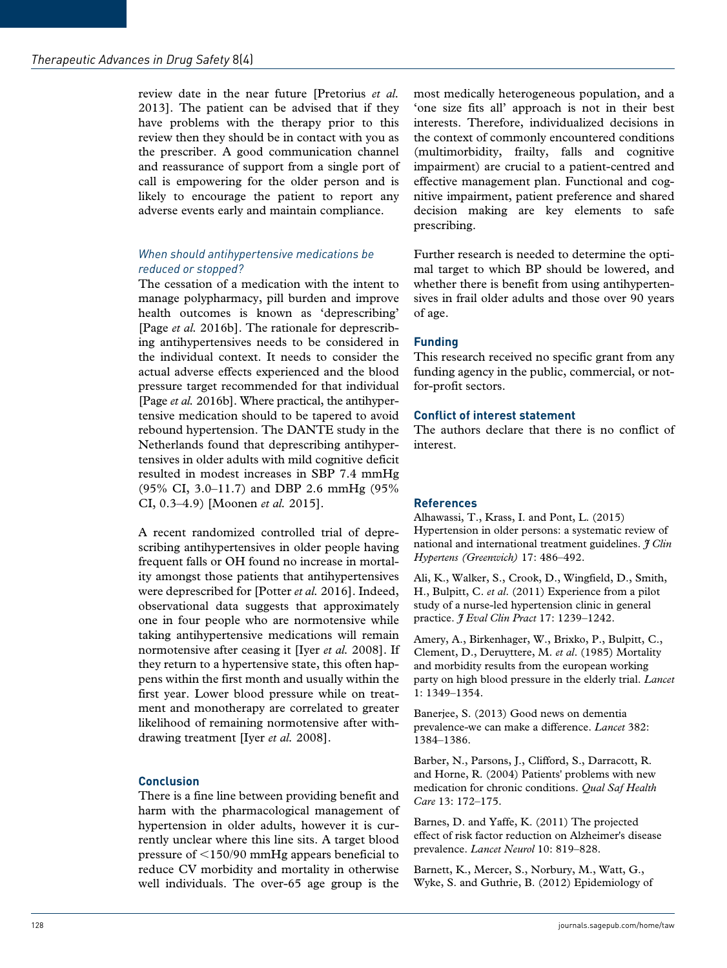review date in the near future [Pretorius *et al.* 2013]. The patient can be advised that if they have problems with the therapy prior to this review then they should be in contact with you as the prescriber. A good communication channel and reassurance of support from a single port of call is empowering for the older person and is likely to encourage the patient to report any adverse events early and maintain compliance.

## *When should antihypertensive medications be reduced or stopped?*

The cessation of a medication with the intent to manage polypharmacy, pill burden and improve health outcomes is known as 'deprescribing' [Page *et al.* 2016b]. The rationale for deprescribing antihypertensives needs to be considered in the individual context. It needs to consider the actual adverse effects experienced and the blood pressure target recommended for that individual [Page *et al.* 2016b]. Where practical, the antihypertensive medication should to be tapered to avoid rebound hypertension. The DANTE study in the Netherlands found that deprescribing antihypertensives in older adults with mild cognitive deficit resulted in modest increases in SBP 7.4 mmHg (95% CI, 3.0–11.7) and DBP 2.6 mmHg (95% CI, 0.3–4.9) [Moonen *et al.* 2015].

A recent randomized controlled trial of deprescribing antihypertensives in older people having frequent falls or OH found no increase in mortality amongst those patients that antihypertensives were deprescribed for [Potter *et al.* 2016]. Indeed, observational data suggests that approximately one in four people who are normotensive while taking antihypertensive medications will remain normotensive after ceasing it [Iyer *et al.* 2008]. If they return to a hypertensive state, this often happens within the first month and usually within the first year. Lower blood pressure while on treatment and monotherapy are correlated to greater likelihood of remaining normotensive after withdrawing treatment [Iyer *et al.* 2008].

## **Conclusion**

There is a fine line between providing benefit and harm with the pharmacological management of hypertension in older adults, however it is currently unclear where this line sits. A target blood pressure of <150/90 mmHg appears beneficial to reduce CV morbidity and mortality in otherwise well individuals. The over-65 age group is the

most medically heterogeneous population, and a 'one size fits all' approach is not in their best interests. Therefore, individualized decisions in the context of commonly encountered conditions (multimorbidity, frailty, falls and cognitive impairment) are crucial to a patient-centred and effective management plan. Functional and cognitive impairment, patient preference and shared decision making are key elements to safe prescribing.

Further research is needed to determine the optimal target to which BP should be lowered, and whether there is benefit from using antihypertensives in frail older adults and those over 90 years of age.

## **Funding**

This research received no specific grant from any funding agency in the public, commercial, or notfor-profit sectors.

## **Conflict of interest statement**

The authors declare that there is no conflict of interest.

## **References**

Alhawassi, T., Krass, I. and Pont, L. (2015) Hypertension in older persons: a systematic review of national and international treatment guidelines. *J Clin Hypertens (Greenwich)* 17: 486–492.

Ali, K., Walker, S., Crook, D., Wingfield, D., Smith, H., Bulpitt, C. *et al*. (2011) Experience from a pilot study of a nurse-led hypertension clinic in general practice. *J Eval Clin Pract* 17: 1239–1242.

Amery, A., Birkenhager, W., Brixko, P., Bulpitt, C., Clement, D., Deruyttere, M. *et al*. (1985) Mortality and morbidity results from the european working party on high blood pressure in the elderly trial. *Lancet* 1: 1349–1354.

Banerjee, S. (2013) Good news on dementia prevalence-we can make a difference. *Lancet* 382: 1384–1386.

Barber, N., Parsons, J., Clifford, S., Darracott, R. and Horne, R. (2004) Patients' problems with new medication for chronic conditions. *Qual Saf Health Care* 13: 172–175.

Barnes, D. and Yaffe, K. (2011) The projected effect of risk factor reduction on Alzheimer's disease prevalence. *Lancet Neurol* 10: 819–828.

Barnett, K., Mercer, S., Norbury, M., Watt, G., Wyke, S. and Guthrie, B. (2012) Epidemiology of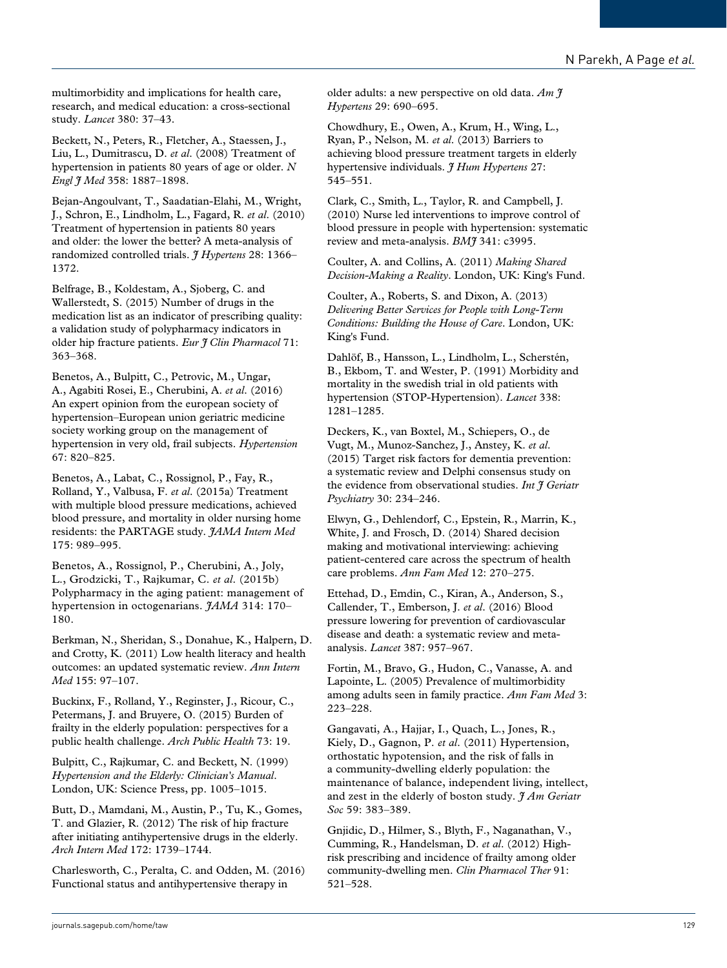multimorbidity and implications for health care, research, and medical education: a cross-sectional study. *Lancet* 380: 37–43.

Beckett, N., Peters, R., Fletcher, A., Staessen, J., Liu, L., Dumitrascu, D. *et al*. (2008) Treatment of hypertension in patients 80 years of age or older. *N Engl J Med* 358: 1887–1898.

Bejan-Angoulvant, T., Saadatian-Elahi, M., Wright, J., Schron, E., Lindholm, L., Fagard, R. *et al*. (2010) Treatment of hypertension in patients 80 years and older: the lower the better? A meta-analysis of randomized controlled trials. *J Hypertens* 28: 1366– 1372.

Belfrage, B., Koldestam, A., Sjoberg, C. and Wallerstedt, S. (2015) Number of drugs in the medication list as an indicator of prescribing quality: a validation study of polypharmacy indicators in older hip fracture patients. *Eur J Clin Pharmacol* 71: 363–368.

Benetos, A., Bulpitt, C., Petrovic, M., Ungar, A., Agabiti Rosei, E., Cherubini, A. *et al*. (2016) An expert opinion from the european society of hypertension–European union geriatric medicine society working group on the management of hypertension in very old, frail subjects. *Hypertension* 67: 820–825.

Benetos, A., Labat, C., Rossignol, P., Fay, R., Rolland, Y., Valbusa, F. *et al*. (2015a) Treatment with multiple blood pressure medications, achieved blood pressure, and mortality in older nursing home residents: the PARTAGE study. *JAMA Intern Med* 175: 989–995.

Benetos, A., Rossignol, P., Cherubini, A., Joly, L., Grodzicki, T., Rajkumar, C. *et al*. (2015b) Polypharmacy in the aging patient: management of hypertension in octogenarians. *JAMA* 314: 170– 180.

Berkman, N., Sheridan, S., Donahue, K., Halpern, D. and Crotty, K. (2011) Low health literacy and health outcomes: an updated systematic review. *Ann Intern Med* 155: 97–107.

Buckinx, F., Rolland, Y., Reginster, J., Ricour, C., Petermans, J. and Bruyere, O. (2015) Burden of frailty in the elderly population: perspectives for a public health challenge. *Arch Public Health* 73: 19.

Bulpitt, C., Rajkumar, C. and Beckett, N. (1999) *Hypertension and the Elderly: Clinician's Manual*. London, UK: Science Press, pp. 1005–1015.

Butt, D., Mamdani, M., Austin, P., Tu, K., Gomes, T. and Glazier, R. (2012) The risk of hip fracture after initiating antihypertensive drugs in the elderly. *Arch Intern Med* 172: 1739–1744.

Charlesworth, C., Peralta, C. and Odden, M. (2016) Functional status and antihypertensive therapy in

older adults: a new perspective on old data. *Am J Hypertens* 29: 690–695.

Chowdhury, E., Owen, A., Krum, H., Wing, L., Ryan, P., Nelson, M. *et al*. (2013) Barriers to achieving blood pressure treatment targets in elderly hypertensive individuals. *J Hum Hypertens* 27: 545–551.

Clark, C., Smith, L., Taylor, R. and Campbell, J. (2010) Nurse led interventions to improve control of blood pressure in people with hypertension: systematic review and meta-analysis. *BMJ* 341: c3995.

Coulter, A. and Collins, A. (2011) *Making Shared Decision-Making a Reality*. London, UK: King's Fund.

Coulter, A., Roberts, S. and Dixon, A. (2013) *Delivering Better Services for People with Long-Term Conditions: Building the House of Care*. London, UK: King's Fund.

Dahlöf, B., Hansson, L., Lindholm, L., Scherstén, B., Ekbom, T. and Wester, P. (1991) Morbidity and mortality in the swedish trial in old patients with hypertension (STOP-Hypertension). *Lancet* 338: 1281–1285.

Deckers, K., van Boxtel, M., Schiepers, O., de Vugt, M., Munoz-Sanchez, J., Anstey, K. *et al*. (2015) Target risk factors for dementia prevention: a systematic review and Delphi consensus study on the evidence from observational studies. *Int J Geriatr Psychiatry* 30: 234–246.

Elwyn, G., Dehlendorf, C., Epstein, R., Marrin, K., White, J. and Frosch, D. (2014) Shared decision making and motivational interviewing: achieving patient-centered care across the spectrum of health care problems. *Ann Fam Med* 12: 270–275.

Ettehad, D., Emdin, C., Kiran, A., Anderson, S., Callender, T., Emberson, J. *et al*. (2016) Blood pressure lowering for prevention of cardiovascular disease and death: a systematic review and metaanalysis. *Lancet* 387: 957–967.

Fortin, M., Bravo, G., Hudon, C., Vanasse, A. and Lapointe, L. (2005) Prevalence of multimorbidity among adults seen in family practice. *Ann Fam Med* 3: 223–228.

Gangavati, A., Hajjar, I., Quach, L., Jones, R., Kiely, D., Gagnon, P. *et al*. (2011) Hypertension, orthostatic hypotension, and the risk of falls in a community-dwelling elderly population: the maintenance of balance, independent living, intellect, and zest in the elderly of boston study. *J Am Geriatr Soc* 59: 383–389.

Gnjidic, D., Hilmer, S., Blyth, F., Naganathan, V., Cumming, R., Handelsman, D. *et al*. (2012) Highrisk prescribing and incidence of frailty among older community-dwelling men. *Clin Pharmacol Ther* 91: 521–528.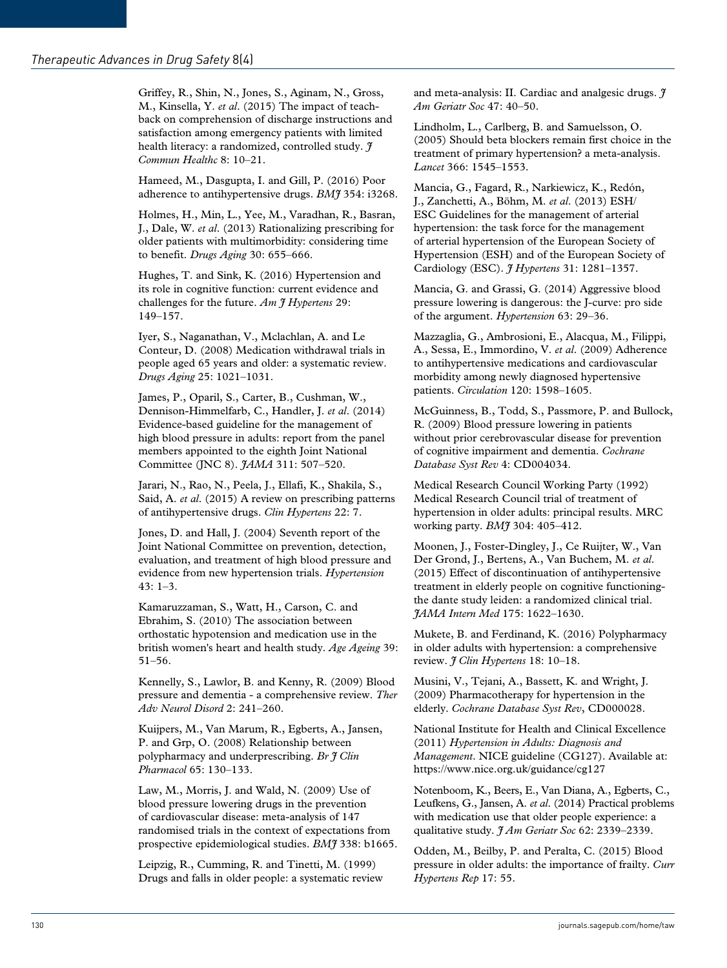Griffey, R., Shin, N., Jones, S., Aginam, N., Gross, M., Kinsella, Y. *et al*. (2015) The impact of teachback on comprehension of discharge instructions and satisfaction among emergency patients with limited health literacy: a randomized, controlled study. *J Commun Healthc* 8: 10–21.

Hameed, M., Dasgupta, I. and Gill, P. (2016) Poor adherence to antihypertensive drugs. *BMJ* 354: i3268.

Holmes, H., Min, L., Yee, M., Varadhan, R., Basran, J., Dale, W. *et al*. (2013) Rationalizing prescribing for older patients with multimorbidity: considering time to benefit. *Drugs Aging* 30: 655–666.

Hughes, T. and Sink, K. (2016) Hypertension and its role in cognitive function: current evidence and challenges for the future. *Am J Hypertens* 29: 149–157.

Iyer, S., Naganathan, V., Mclachlan, A. and Le Conteur, D. (2008) Medication withdrawal trials in people aged 65 years and older: a systematic review. *Drugs Aging* 25: 1021–1031.

James, P., Oparil, S., Carter, B., Cushman, W., Dennison-Himmelfarb, C., Handler, J. *et al*. (2014) Evidence-based guideline for the management of high blood pressure in adults: report from the panel members appointed to the eighth Joint National Committee (JNC 8). *JAMA* 311: 507–520.

Jarari, N., Rao, N., Peela, J., Ellafi, K., Shakila, S., Said, A. *et al*. (2015) A review on prescribing patterns of antihypertensive drugs. *Clin Hypertens* 22: 7.

Jones, D. and Hall, J. (2004) Seventh report of the Joint National Committee on prevention, detection, evaluation, and treatment of high blood pressure and evidence from new hypertension trials. *Hypertension* 43: 1–3.

Kamaruzzaman, S., Watt, H., Carson, C. and Ebrahim, S. (2010) The association between orthostatic hypotension and medication use in the british women's heart and health study. *Age Ageing* 39: 51–56.

Kennelly, S., Lawlor, B. and Kenny, R. (2009) Blood pressure and dementia - a comprehensive review. *Ther Adv Neurol Disord* 2: 241–260.

Kuijpers, M., Van Marum, R., Egberts, A., Jansen, P. and Grp, O. (2008) Relationship between polypharmacy and underprescribing. *Br J Clin Pharmacol* 65: 130–133.

Law, M., Morris, J. and Wald, N. (2009) Use of blood pressure lowering drugs in the prevention of cardiovascular disease: meta-analysis of 147 randomised trials in the context of expectations from prospective epidemiological studies. *BMJ* 338: b1665.

Leipzig, R., Cumming, R. and Tinetti, M. (1999) Drugs and falls in older people: a systematic review

and meta-analysis: II. Cardiac and analgesic drugs.  $\tilde{\tau}$ *Am Geriatr Soc* 47: 40–50.

Lindholm, L., Carlberg, B. and Samuelsson, O. (2005) Should beta blockers remain first choice in the treatment of primary hypertension? a meta-analysis. *Lancet* 366: 1545–1553.

Mancia, G., Fagard, R., Narkiewicz, K., Redón, J., Zanchetti, A., Böhm, M. *et al*. (2013) ESH/ ESC Guidelines for the management of arterial hypertension: the task force for the management of arterial hypertension of the European Society of Hypertension (ESH) and of the European Society of Cardiology (ESC). *J Hypertens* 31: 1281–1357.

Mancia, G. and Grassi, G. (2014) Aggressive blood pressure lowering is dangerous: the J-curve: pro side of the argument. *Hypertension* 63: 29–36.

Mazzaglia, G., Ambrosioni, E., Alacqua, M., Filippi, A., Sessa, E., Immordino, V. *et al*. (2009) Adherence to antihypertensive medications and cardiovascular morbidity among newly diagnosed hypertensive patients. *Circulation* 120: 1598–1605.

McGuinness, B., Todd, S., Passmore, P. and Bullock, R. (2009) Blood pressure lowering in patients without prior cerebrovascular disease for prevention of cognitive impairment and dementia. *Cochrane Database Syst Rev* 4: CD004034.

Medical Research Council Working Party (1992) Medical Research Council trial of treatment of hypertension in older adults: principal results. MRC working party. *BMJ* 304: 405–412.

Moonen, J., Foster-Dingley, J., Ce Ruijter, W., Van Der Grond, J., Bertens, A., Van Buchem, M. *et al*. (2015) Effect of discontinuation of antihypertensive treatment in elderly people on cognitive functioningthe dante study leiden: a randomized clinical trial. *JAMA Intern Med* 175: 1622–1630.

Mukete, B. and Ferdinand, K. (2016) Polypharmacy in older adults with hypertension: a comprehensive review. *J Clin Hypertens* 18: 10–18.

Musini, V., Tejani, A., Bassett, K. and Wright, J. (2009) Pharmacotherapy for hypertension in the elderly. *Cochrane Database Syst Rev*, CD000028.

National Institute for Health and Clinical Excellence (2011) *Hypertension in Adults: Diagnosis and Management*. NICE guideline (CG127). Available at: <https://www.nice.org.uk/guidance/cg127>

Notenboom, K., Beers, E., Van Diana, A., Egberts, C., Leufkens, G., Jansen, A. *et al*. (2014) Practical problems with medication use that older people experience: a qualitative study. *J Am Geriatr Soc* 62: 2339–2339.

Odden, M., Beilby, P. and Peralta, C. (2015) Blood pressure in older adults: the importance of frailty. *Curr Hypertens Rep* 17: 55.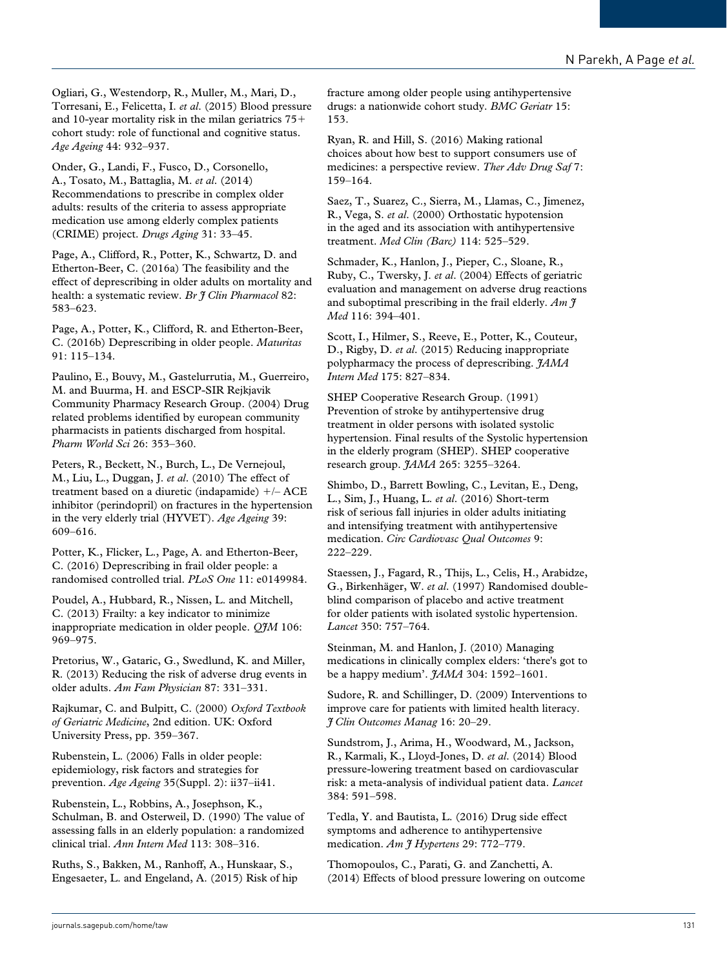Ogliari, G., Westendorp, R., Muller, M., Mari, D., Torresani, E., Felicetta, I. *et al*. (2015) Blood pressure and 10-year mortality risk in the milan geriatrics  $75+$ cohort study: role of functional and cognitive status. *Age Ageing* 44: 932–937.

Onder, G., Landi, F., Fusco, D., Corsonello, A., Tosato, M., Battaglia, M. *et al*. (2014) Recommendations to prescribe in complex older adults: results of the criteria to assess appropriate medication use among elderly complex patients (CRIME) project. *Drugs Aging* 31: 33–45.

Page, A., Clifford, R., Potter, K., Schwartz, D. and Etherton-Beer, C. (2016a) The feasibility and the effect of deprescribing in older adults on mortality and health: a systematic review. *Br J Clin Pharmacol* 82: 583–623.

Page, A., Potter, K., Clifford, R. and Etherton-Beer, C. (2016b) Deprescribing in older people. *Maturitas* 91: 115–134.

Paulino, E., Bouvy, M., Gastelurrutia, M., Guerreiro, M. and Buurma, H. and ESCP-SIR Rejkjavik Community Pharmacy Research Group. (2004) Drug related problems identified by european community pharmacists in patients discharged from hospital. *Pharm World Sci* 26: 353–360.

Peters, R., Beckett, N., Burch, L., De Vernejoul, M., Liu, L., Duggan, J. *et al*. (2010) The effect of treatment based on a diuretic (indapamide) +/– ACE inhibitor (perindopril) on fractures in the hypertension in the very elderly trial (HYVET). *Age Ageing* 39: 609–616.

Potter, K., Flicker, L., Page, A. and Etherton-Beer, C. (2016) Deprescribing in frail older people: a randomised controlled trial. *PLoS One* 11: e0149984.

Poudel, A., Hubbard, R., Nissen, L. and Mitchell, C. (2013) Frailty: a key indicator to minimize inappropriate medication in older people. *QJM* 106: 969–975.

Pretorius, W., Gataric, G., Swedlund, K. and Miller, R. (2013) Reducing the risk of adverse drug events in older adults. *Am Fam Physician* 87: 331–331.

Rajkumar, C. and Bulpitt, C. (2000) *Oxford Textbook of Geriatric Medicine*, 2nd edition. UK: Oxford University Press, pp. 359–367.

Rubenstein, L. (2006) Falls in older people: epidemiology, risk factors and strategies for prevention. *Age Ageing* 35(Suppl. 2): ii37–ii41.

Rubenstein, L., Robbins, A., Josephson, K., Schulman, B. and Osterweil, D. (1990) The value of assessing falls in an elderly population: a randomized clinical trial. *Ann Intern Med* 113: 308–316.

Ruths, S., Bakken, M., Ranhoff, A., Hunskaar, S., Engesaeter, L. and Engeland, A. (2015) Risk of hip fracture among older people using antihypertensive drugs: a nationwide cohort study. *BMC Geriatr* 15: 153.

Ryan, R. and Hill, S. (2016) Making rational choices about how best to support consumers use of medicines: a perspective review. *Ther Adv Drug Saf* 7: 159–164.

Saez, T., Suarez, C., Sierra, M., Llamas, C., Jimenez, R., Vega, S. *et al*. (2000) Orthostatic hypotension in the aged and its association with antihypertensive treatment. *Med Clin (Barc)* 114: 525–529.

Schmader, K., Hanlon, J., Pieper, C., Sloane, R., Ruby, C., Twersky, J. *et al*. (2004) Effects of geriatric evaluation and management on adverse drug reactions and suboptimal prescribing in the frail elderly. *Am J Med* 116: 394–401.

Scott, I., Hilmer, S., Reeve, E., Potter, K., Couteur, D., Rigby, D. *et al*. (2015) Reducing inappropriate polypharmacy the process of deprescribing. *JAMA Intern Med* 175: 827–834.

SHEP Cooperative Research Group. (1991) Prevention of stroke by antihypertensive drug treatment in older persons with isolated systolic hypertension. Final results of the Systolic hypertension in the elderly program (SHEP). SHEP cooperative research group. *JAMA* 265: 3255–3264.

Shimbo, D., Barrett Bowling, C., Levitan, E., Deng, L., Sim, J., Huang, L. *et al*. (2016) Short-term risk of serious fall injuries in older adults initiating and intensifying treatment with antihypertensive medication. *Circ Cardiovasc Qual Outcomes* 9: 222–229.

Staessen, J., Fagard, R., Thijs, L., Celis, H., Arabidze, G., Birkenhäger, W. *et al*. (1997) Randomised doubleblind comparison of placebo and active treatment for older patients with isolated systolic hypertension. *Lancet* 350: 757–764.

Steinman, M. and Hanlon, J. (2010) Managing medications in clinically complex elders: 'there's got to be a happy medium'. *JAMA* 304: 1592–1601.

Sudore, R. and Schillinger, D. (2009) Interventions to improve care for patients with limited health literacy. *J Clin Outcomes Manag* 16: 20–29.

Sundstrom, J., Arima, H., Woodward, M., Jackson, R., Karmali, K., Lloyd-Jones, D. *et al*. (2014) Blood pressure-lowering treatment based on cardiovascular risk: a meta-analysis of individual patient data. *Lancet* 384: 591–598.

Tedla, Y. and Bautista, L. (2016) Drug side effect symptoms and adherence to antihypertensive medication. *Am J Hypertens* 29: 772–779.

Thomopoulos, C., Parati, G. and Zanchetti, A. (2014) Effects of blood pressure lowering on outcome